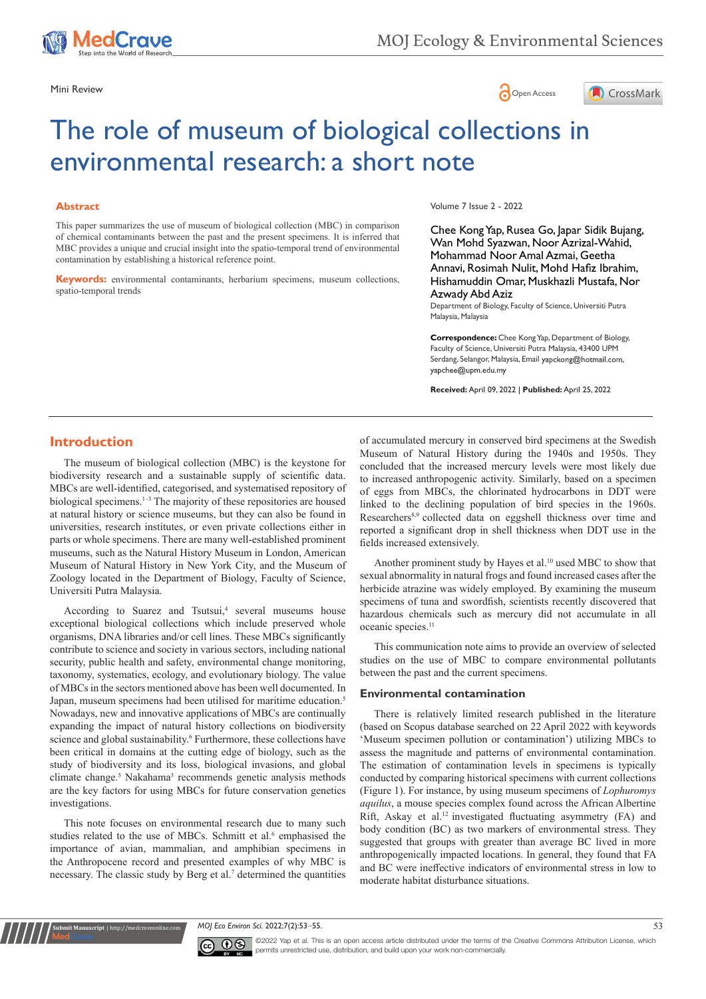





# The role of museum of biological collections in environmental research: a short note

## **Abstract**

This paper summarizes the use of museum of biological collection (MBC) in comparison of chemical contaminants between the past and the present specimens. It is inferred that MBC provides a unique and crucial insight into the spatio-temporal trend of environmental contamination by establishing a historical reference point.

**Keywords:** environmental contaminants, herbarium specimens, museum collections, spatio-temporal trends

Volume 7 Issue 2 - 2022

Chee Kong Yap, Rusea Go, Japar Sidik Bujang, Wan Mohd Syazwan, Noor Azrizal-Wahid, Mohammad Noor Amal Azmai, Geetha Annavi, Rosimah Nulit, Mohd Hafiz Ibrahim, Hishamuddin Omar, Muskhazli Mustafa, Nor Azwady Abd Aziz

Department of Biology, Faculty of Science, Universiti Putra Malaysia, Malaysia

**Correspondence:** Chee Kong Yap, Department of Biology, Faculty of Science, Universiti Putra Malaysia, 43400 UPM Serdang, Selangor, Malaysia, Email yapckong@hotmail.com, yapchee@upm.edu.my

**Received:** April 09, 2022 | **Published:** April 25, 2022

## **Introduction**

The museum of biological collection (MBC) is the keystone for biodiversity research and a sustainable supply of scientific data. MBCs are well-identified, categorised, and systematised repository of biological specimens.1–3 The majority of these repositories are housed at natural history or science museums, but they can also be found in universities, research institutes, or even private collections either in parts or whole specimens. There are many well-established prominent museums, such as the Natural History Museum in London, American Museum of Natural History in New York City, and the Museum of Zoology located in the Department of Biology, Faculty of Science, Universiti Putra Malaysia.

According to Suarez and Tsutsui,<sup>4</sup> several museums house exceptional biological collections which include preserved whole organisms, DNA libraries and/or cell lines. These MBCs significantly contribute to science and society in various sectors, including national security, public health and safety, environmental change monitoring, taxonomy, systematics, ecology, and evolutionary biology. The value of MBCs in the sectors mentioned above has been well documented. In Japan, museum specimens had been utilised for maritime education.<sup>5</sup> Nowadays, new and innovative applications of MBCs are continually expanding the impact of natural history collections on biodiversity science and global sustainability.<sup>6</sup> Furthermore, these collections have been critical in domains at the cutting edge of biology, such as the study of biodiversity and its loss, biological invasions, and global climate change.<sup>5</sup> Nakahama<sup>3</sup> recommends genetic analysis methods are the key factors for using MBCs for future conservation genetics investigations.

This note focuses on environmental research due to many such studies related to the use of MBCs. Schmitt et al.<sup>6</sup> emphasised the importance of avian, mammalian, and amphibian specimens in the Anthropocene record and presented examples of why MBC is necessary. The classic study by Berg et al.<sup>7</sup> determined the quantities

**Kubmit Manuscript** | http://medcraveonline

of accumulated mercury in conserved bird specimens at the Swedish Museum of Natural History during the 1940s and 1950s. They concluded that the increased mercury levels were most likely due to increased anthropogenic activity. Similarly, based on a specimen of eggs from MBCs, the chlorinated hydrocarbons in DDT were linked to the declining population of bird species in the 1960s. Researchers<sup>8,9</sup> collected data on eggshell thickness over time and reported a significant drop in shell thickness when DDT use in the fields increased extensively.

Another prominent study by Hayes et al.10 used MBC to show that sexual abnormality in natural frogs and found increased cases after the herbicide atrazine was widely employed. By examining the museum specimens of tuna and swordfish, scientists recently discovered that hazardous chemicals such as mercury did not accumulate in all oceanic species.<sup>11</sup>

This communication note aims to provide an overview of selected studies on the use of MBC to compare environmental pollutants between the past and the current specimens.

### **Environmental contamination**

There is relatively limited research published in the literature (based on Scopus database searched on 22 April 2022 with keywords 'Museum specimen pollution or contamination') utilizing MBCs to assess the magnitude and patterns of environmental contamination. The estimation of contamination levels in specimens is typically conducted by comparing historical specimens with current collections (Figure 1). For instance, by using museum specimens of *Lophuromys aquilus*, a mouse species complex found across the African Albertine Rift, Askay et al.12 investigated fluctuating asymmetry (FA) and body condition (BC) as two markers of environmental stress. They suggested that groups with greater than average BC lived in more anthropogenically impacted locations. In general, they found that FA and BC were ineffective indicators of environmental stress in low to moderate habitat disturbance situations.

*MOJ Eco Environ Sci.* 2022;7(2):53‒55. 53



©2022 Yap et al. This is an open access article distributed under the terms of the [Creative Commons Attribution License](https://creativecommons.org/licenses/by-nc/4.0/), which permits unrestricted use, distribution, and build upon your work non-commercially.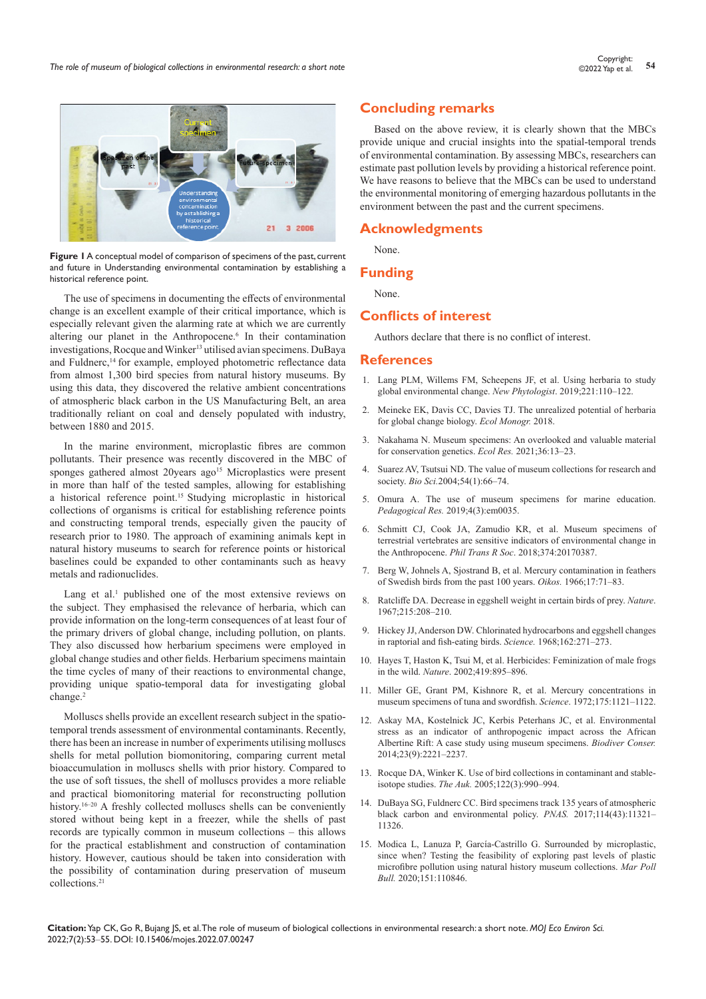

**Figure 1** A conceptual model of comparison of specimens of the past, current and future in Understanding environmental contamination by establishing a historical reference point.

The use of specimens in documenting the effects of environmental change is an excellent example of their critical importance, which is especially relevant given the alarming rate at which we are currently altering our planet in the Anthropocene.<sup>6</sup> In their contamination investigations, Rocque and Winker<sup>13</sup> utilised avian specimens. DuBaya and Fuldnerc,<sup>14</sup> for example, employed photometric reflectance data from almost 1,300 bird species from natural history museums. By using this data, they discovered the relative ambient concentrations of atmospheric black carbon in the US Manufacturing Belt, an area traditionally reliant on coal and densely populated with industry, between 1880 and 2015.

In the marine environment, microplastic fibres are common pollutants. Their presence was recently discovered in the MBC of sponges gathered almost 20years ago<sup>15</sup> Microplastics were present in more than half of the tested samples, allowing for establishing a historical reference point.<sup>15</sup> Studying microplastic in historical collections of organisms is critical for establishing reference points and constructing temporal trends, especially given the paucity of research prior to 1980. The approach of examining animals kept in natural history museums to search for reference points or historical baselines could be expanded to other contaminants such as heavy metals and radionuclides.

Lang et al.<sup>1</sup> published one of the most extensive reviews on the subject. They emphasised the relevance of herbaria, which can provide information on the long-term consequences of at least four of the primary drivers of global change, including pollution, on plants. They also discussed how herbarium specimens were employed in global change studies and other fields. Herbarium specimens maintain the time cycles of many of their reactions to environmental change, providing unique spatio-temporal data for investigating global change.2

Molluscs shells provide an excellent research subject in the spatiotemporal trends assessment of environmental contaminants. Recently, there has been an increase in number of experiments utilising molluscs shells for metal pollution biomonitoring, comparing current metal bioaccumulation in molluscs shells with prior history. Compared to the use of soft tissues, the shell of molluscs provides a more reliable and practical biomonitoring material for reconstructing pollution history.<sup>16-20</sup> A freshly collected molluscs shells can be conveniently stored without being kept in a freezer, while the shells of past records are typically common in museum collections – this allows for the practical establishment and construction of contamination history. However, cautious should be taken into consideration with the possibility of contamination during preservation of museum collections.21

# **Concluding remarks**

Based on the above review, it is clearly shown that the MBCs provide unique and crucial insights into the spatial-temporal trends of environmental contamination. By assessing MBCs, researchers can estimate past pollution levels by providing a historical reference point. We have reasons to believe that the MBCs can be used to understand the environmental monitoring of emerging hazardous pollutants in the environment between the past and the current specimens.

## **Acknowledgments**

None.

#### **Funding**

None.

## **Conflicts of interest**

Authors declare that there is no conflict of interest.

## **References**

- 1. [Lang PLM, Willems FM, Scheepens JF, et al. Using herbaria to study](https://pubmed.ncbi.nlm.nih.gov/30160314/)  [global environmental change.](https://pubmed.ncbi.nlm.nih.gov/30160314/) *New Phytologist*. 2019;221:110–122.
- 2. [Meineke EK, Davis CC, Davies TJ. The unrealized potential of herbaria](https://esajournals.onlinelibrary.wiley.com/doi/10.1002/ecm.1307)  [for global change biology.](https://esajournals.onlinelibrary.wiley.com/doi/10.1002/ecm.1307) *Ecol Monogr.* 2018.
- 3. [Nakahama N. Museum specimens: An overlooked and valuable material](https://esj-journals.onlinelibrary.wiley.com/doi/10.1111/1440-1703.12181)  [for conservation genetics.](https://esj-journals.onlinelibrary.wiley.com/doi/10.1111/1440-1703.12181) *Ecol Res.* 2021;36:13–23.
- 4. [Suarez AV, Tsutsui ND. The value of museum collections for research and](https://academic.oup.com/bioscience/article/54/1/66/234633)  society. *Bio Sci.*[2004;54\(1\):66–74.](https://academic.oup.com/bioscience/article/54/1/66/234633)
- 5. [Omura A. The use of museum specimens for marine education.](https://files.eric.ed.gov/fulltext/EJ1244155.pdf)  *Pedagogical Res.* [2019;4\(3\):em0035.](https://files.eric.ed.gov/fulltext/EJ1244155.pdf)
- 6. [Schmitt CJ, Cook JA, Zamudio KR, et al. Museum specimens of](https://pubmed.ncbi.nlm.nih.gov/30455205/)  [terrestrial vertebrates are sensitive indicators of environmental change in](https://pubmed.ncbi.nlm.nih.gov/30455205/)  the Anthropocene. *Phil Trans R Soc*[. 2018;374:20170387.](https://pubmed.ncbi.nlm.nih.gov/30455205/)
- 7. Berg W, Johnels A, Sjostrand B, et al. Mercury contamination in feathers of Swedish birds from the past 100 years. *Oikos.* 1966;17:71–83.
- 8. [Ratcliffe DA. Decrease in eggshell weight in certain birds of prey.](https://www.nature.com/articles/215208a0) *Nature*. [1967;215:208–210.](https://www.nature.com/articles/215208a0)
- 9. [Hickey JJ, Anderson DW. Chlorinated hydrocarbons and eggshell changes](https://pubmed.ncbi.nlm.nih.gov/4877438/)  [in raptorial and fish-eating birds.](https://pubmed.ncbi.nlm.nih.gov/4877438/) *Science.* 1968;162:271–273.
- 10. [Hayes T, Haston K, Tsui M, et al. Herbicides: Feminization of male frogs](https://pubmed.ncbi.nlm.nih.gov/12410298/)  in the wild. *Nature*[. 2002;419:895–896.](https://pubmed.ncbi.nlm.nih.gov/12410298/)
- 11. [Miller GE, Grant PM, Kishnore R, et al. Mercury concentrations in](https://pubmed.ncbi.nlm.nih.gov/5060046/)  [museum specimens of tuna and swordfish.](https://pubmed.ncbi.nlm.nih.gov/5060046/) *Science*. 1972;175:1121–1122.
- 12. [Askay MA, Kostelnick JC, Kerbis Peterhans JC, et al. Environmental](https://www.springerprofessional.de/en/environmental-stress-as-an-indicator-of-anthropogenic-impact-acr/5389626)  [stress as an indicator of anthropogenic impact across the African](https://www.springerprofessional.de/en/environmental-stress-as-an-indicator-of-anthropogenic-impact-acr/5389626)  [Albertine Rift: A case study using museum specimens.](https://www.springerprofessional.de/en/environmental-stress-as-an-indicator-of-anthropogenic-impact-acr/5389626) *Biodiver Conser.*  [2014;23\(9\):2221–2237.](https://www.springerprofessional.de/en/environmental-stress-as-an-indicator-of-anthropogenic-impact-acr/5389626)
- 13. [Rocque DA, Winker K. Use of bird collections in contaminant and stable](https://academic.oup.com/auk/article/122/3/990/5562426)isotope studies. *The Auk.* [2005;122\(3\):990–994.](https://academic.oup.com/auk/article/122/3/990/5562426)
- 14. [DuBaya SG, Fuldnerc CC. Bird specimens track 135 years of atmospheric](https://www.pnas.org/doi/10.1073/pnas.1710239114)  [black carbon and environmental policy.](https://www.pnas.org/doi/10.1073/pnas.1710239114) *PNAS.* 2017;114(43):11321– [11326.](https://www.pnas.org/doi/10.1073/pnas.1710239114)
- 15. [Modica L, Lanuza P, García-Castrillo G. Surrounded by microplastic,](https://www.sciencedirect.com/science/article/abs/pii/S0025326X19310021)  [since when? Testing the feasibility of exploring past levels of plastic](https://www.sciencedirect.com/science/article/abs/pii/S0025326X19310021)  [microfibre pollution using natural history museum collections.](https://www.sciencedirect.com/science/article/abs/pii/S0025326X19310021) *Mar Poll Bull.* [2020;151:110846.](https://www.sciencedirect.com/science/article/abs/pii/S0025326X19310021)